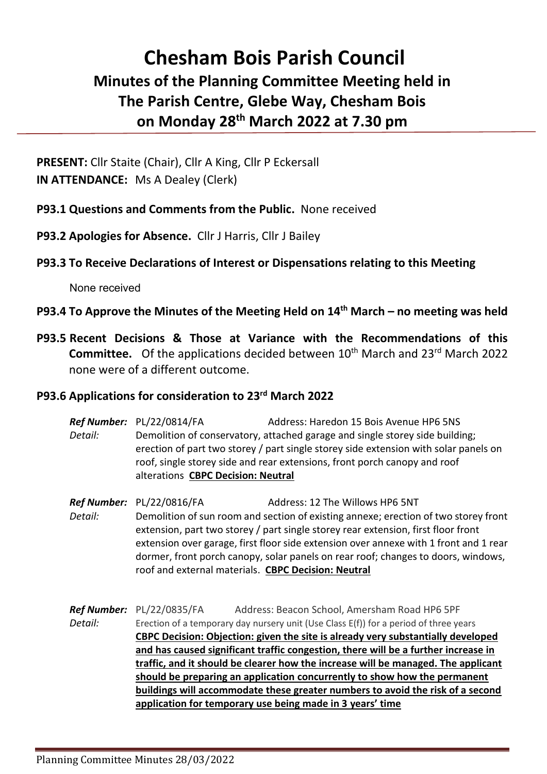## **Chesham Bois Parish Council Minutes of the Planning Committee Meeting held in The Parish Centre, Glebe Way, Chesham Bois on Monday 28th March 2022 at 7.30 pm**

**PRESENT:** Cllr Staite (Chair), Cllr A King, Cllr P Eckersall **IN ATTENDANCE:** Ms A Dealey (Clerk)

**P93.1 Questions and Comments from the Public.** None received

**P93.2 Apologies for Absence.** Cllr J Harris, Cllr J Bailey

## **P93.3 To Receive Declarations of Interest or Dispensations relating to this Meeting**

None received

## **P93.4 To Approve the Minutes of the Meeting Held on 14th March – no meeting was held**

**P93.5 Recent Decisions & Those at Variance with the Recommendations of this Committee.** Of the applications decided between 10<sup>th</sup> March and 23<sup>rd</sup> March 2022 none were of a different outcome.

## **P93.6 Applications for consideration to 23rd March 2022**

**Ref Number:** PL/22/0814/FA Address: Haredon 15 Bois Avenue HP6 5NS *Detail:* Demolition of conservatory, attached garage and single storey side building; erection of part two storey / part single storey side extension with solar panels on roof, single storey side and rear extensions, front porch canopy and roof alterations **CBPC Decision: Neutral**

**Ref Number:** PL/22/0816/FA Address: 12 The Willows HP6 5NT *Detail:* Demolition of sun room and section of existing annexe; erection of two storey front extension, part two storey / part single storey rear extension, first floor front extension over garage, first floor side extension over annexe with 1 front and 1 rear dormer, front porch canopy, solar panels on rear roof; changes to doors, windows, roof and external materials. **CBPC Decision: Neutral**

*Ref Number:* PL/22/0835/FA Address: Beacon School, Amersham Road HP6 5PF *Detail:* Erection of a temporary day nursery unit (Use Class E(f)) for a period of three years **CBPC Decision: Objection: given the site is already very substantially developed and has caused significant traffic congestion, there will be a further increase in traffic, and it should be clearer how the increase will be managed. The applicant should be preparing an application concurrently to show how the permanent buildings will accommodate these greater numbers to avoid the risk of a second application for temporary use being made in 3 years' time**